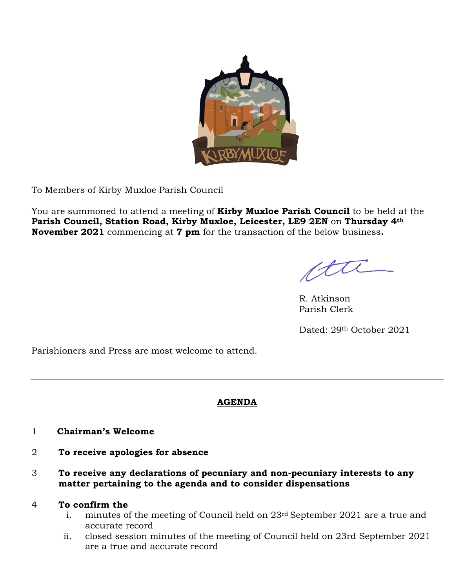

To Members of Kirby Muxloe Parish Council

You are summoned to attend a meeting of **Kirby Muxloe Parish Council** to be held at the **Parish Council, Station Road, Kirby Muxloe, Leicester, LE9 2EN** on **Thursday 4th November 2021** commencing at **7 pm** for the transaction of the below business**.**

ette

R. Atkinson Parish Clerk

Dated: 29th October 2021

Parishioners and Press are most welcome to attend.

# **AGENDA**

- 1 **Chairman's Welcome**
- 2 **To receive apologies for absence**
- 3 **To receive any declarations of pecuniary and non-pecuniary interests to any matter pertaining to the agenda and to consider dispensations**

# 4 **To confirm the**

- i. minutes of the meeting of Council held on 23rd September 2021 are a true and accurate record
- ii. closed session minutes of the meeting of Council held on 23rd September 2021 are a true and accurate record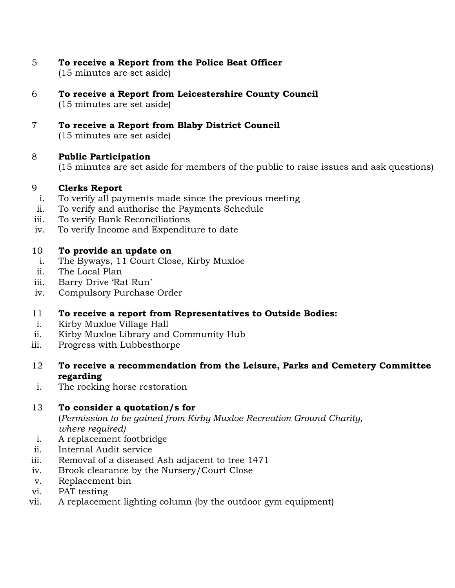- 5 **To receive a Report from the Police Beat Officer**  (15 minutes are set aside)
- 6 **To receive a Report from Leicestershire County Council** (15 minutes are set aside)
- 7 **To receive a Report from Blaby District Council** (15 minutes are set aside)

# 8 **Public Participation**

(15 minutes are set aside for members of the public to raise issues and ask questions)

#### 9 **Clerks Report**

- i. To verify all payments made since the previous meeting
- ii. To verify and authorise the Payments Schedule
- iii. To verify Bank Reconciliations
- iv. To verify Income and Expenditure to date

#### 10 **To provide an update on**

- i. The Byways, 11 Court Close, Kirby Muxloe
- ii. The Local Plan
- iii. Barry Drive 'Rat Run'
- iv. Compulsory Purchase Order
- 11 **To receive a report from Representatives to Outside Bodies:**
- i. Kirby Muxloe Village Hall
- ii. Kirby Muxloe Library and Community Hub
- iii. Progress with Lubbesthorpe
- 12 **To receive a recommendation from the Leisure, Parks and Cemetery Committee regarding**
- i. The rocking horse restoration

# 13 **To consider a quotation/s for**

(*Permission to be gained from Kirby Muxloe Recreation Ground Charity, where required)*

- i. A replacement footbridge
- ii. Internal Audit service
- iii. Removal of a diseased Ash adjacent to tree 1471
- iv. Brook clearance by the Nursery/Court Close
- v. Replacement bin
- vi. PAT testing
- vii. A replacement lighting column (by the outdoor gym equipment)